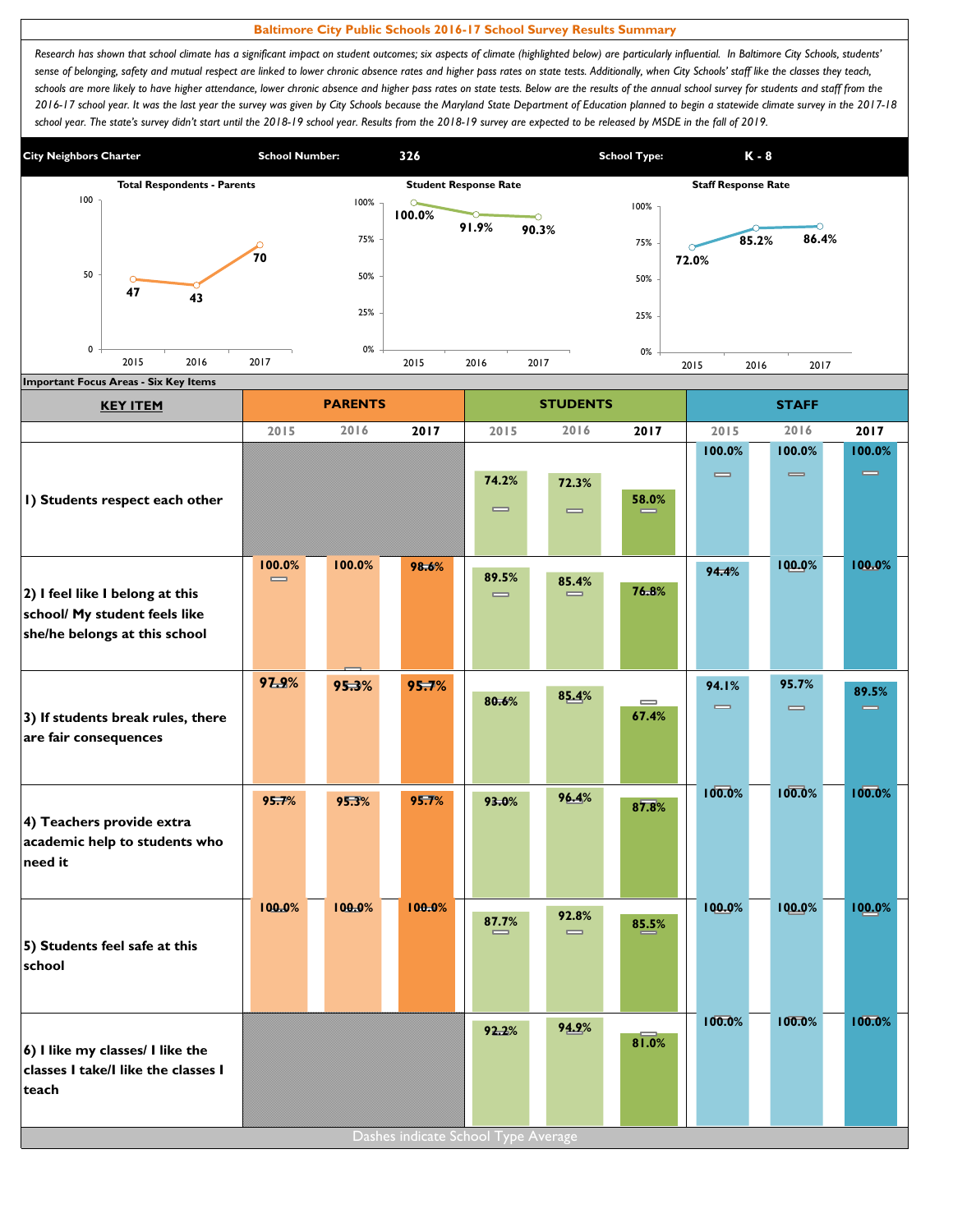## **Baltimore City Public Schools 2016-17 School Survey Results Summary**

Research has shown that school climate has a significant impact on student outcomes; six aspects of climate (highlighted below) are particularly influential. In Baltimore City Schools, students' sense of belonging, safety and mutual respect are linked to lower chronic absence rates and higher pass rates on state tests. Additionally, when City Schools' staff like the classes they teach, schools are more likely to have higher attendance, lower chronic absence and higher pass rates on state tests. Below are the results of the annual school survey for students and staff from the *2016-17 school year. It was the last year the survey was given by City Schools because the Maryland State Department of Education planned to begin a statewide climate survey in the 2017-18*  school year. The state's survey didn't start until the 2018-19 school year. Results from the 2018-19 survey are expected to be released by MSDE in the fall of 2019.



| <b>KEY ITEM</b>                                                         |               | <b>PARENTS</b> |        |                                     | <b>STUDENTS</b>   |                                       | <b>STAFF</b>                 |                   |          |  |
|-------------------------------------------------------------------------|---------------|----------------|--------|-------------------------------------|-------------------|---------------------------------------|------------------------------|-------------------|----------|--|
|                                                                         | 2015          | 2016           | 2017   | 2015                                | 2016              | 2017                                  | 2015                         | 2016              | 2017     |  |
|                                                                         |               |                |        |                                     |                   |                                       | 100.0%                       | 100.0%            | 100.0%   |  |
|                                                                         |               |                |        | 74.2%                               | 72.3%             |                                       | $\qquad \qquad \blacksquare$ | $\qquad \qquad =$ | $\equiv$ |  |
| I) Students respect each other                                          |               |                |        | $\qquad \qquad \blacksquare$        | $\qquad \qquad =$ | 58.0%                                 |                              |                   |          |  |
|                                                                         |               |                |        |                                     |                   |                                       |                              |                   |          |  |
|                                                                         |               |                |        |                                     |                   |                                       |                              |                   | 100.0%   |  |
|                                                                         | 100.0%<br>$=$ | 100.0%         | 98.6%  | 89.5%                               | 85.4%             |                                       | 94.4%                        | 100.0%            |          |  |
| 2) I feel like I belong at this<br>school/ My student feels like        |               |                |        | $\qquad \qquad \blacksquare$        |                   | 76.8%                                 |                              |                   |          |  |
| she/he belongs at this school                                           |               |                |        |                                     |                   |                                       |                              |                   |          |  |
|                                                                         |               |                |        |                                     |                   |                                       |                              |                   |          |  |
|                                                                         | 97.9%         | 95.3%          | 95.7%  |                                     |                   |                                       | 94.1%                        | 95.7%             | 89.5%    |  |
|                                                                         |               |                |        | 80.6%                               | 85.4%             | $\qquad \qquad \blacksquare$<br>67.4% | $\qquad \qquad \blacksquare$ | $\qquad \qquad =$ | $\equiv$ |  |
| 3) If students break rules, there<br>are fair consequences              |               |                |        |                                     |                   |                                       |                              |                   |          |  |
|                                                                         |               |                |        |                                     |                   |                                       |                              |                   |          |  |
|                                                                         |               |                |        |                                     |                   |                                       | 100.0%                       | 100.0%            | 100.0%   |  |
|                                                                         | 95.7%         | 95.3%          | 95.7%  | 93.0%                               | 96.4%             | 87.8%                                 |                              |                   |          |  |
| 4) Teachers provide extra<br>academic help to students who              |               |                |        |                                     |                   |                                       |                              |                   |          |  |
| need it                                                                 |               |                |        |                                     |                   |                                       |                              |                   |          |  |
|                                                                         |               |                |        |                                     |                   |                                       |                              |                   |          |  |
|                                                                         | 100.0%        | 100.0%         | 100.0% |                                     | 92.8%             |                                       | 100.0%                       | 100.0%            | 100.0%   |  |
| 5) Students feel safe at this                                           |               |                |        | $\overset{87.7\%}{=}$               | $\qquad \qquad =$ | 85.5%                                 |                              |                   |          |  |
| school                                                                  |               |                |        |                                     |                   |                                       |                              |                   |          |  |
|                                                                         |               |                |        |                                     |                   |                                       |                              |                   |          |  |
|                                                                         |               |                |        |                                     |                   |                                       | 100.0%                       | 100.0%            | 100.0%   |  |
|                                                                         |               |                |        | 92.2%                               | 94.9%             | 81.0%                                 |                              |                   |          |  |
| 6) I like my classes/ I like the<br>classes I take/I like the classes I |               |                |        |                                     |                   |                                       |                              |                   |          |  |
| teach                                                                   |               |                |        |                                     |                   |                                       |                              |                   |          |  |
|                                                                         |               |                |        |                                     |                   |                                       |                              |                   |          |  |
|                                                                         |               |                |        | Dashes indicate School Type Average |                   |                                       |                              |                   |          |  |